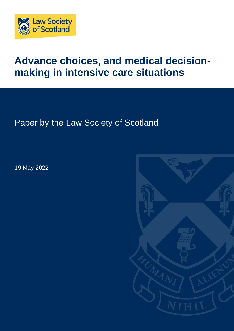

# **Advance choices, and medical decisionmaking in intensive care situations**

Paper by the Law Society of Scotland

19 May 2022

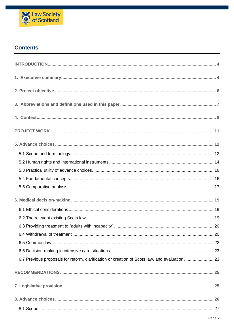

# **Contents**

| 6.7 Previous proposals for reform, clarification or creation of Scots law, and evaluation 23 |
|----------------------------------------------------------------------------------------------|
|                                                                                              |
|                                                                                              |
|                                                                                              |
|                                                                                              |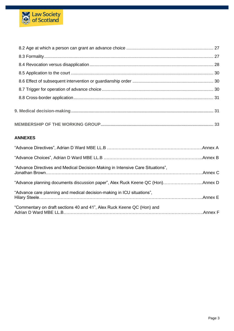

| <b>ANNEXES</b>                                                                 |  |
|--------------------------------------------------------------------------------|--|
|                                                                                |  |
|                                                                                |  |
| "Advance Directives and Medical Decision-Making in Intensive Care Situations", |  |
| "Advance planning documents discussion paper", Alex Ruck Keene QC (Hon)Annex D |  |
| "Advance care planning and medical decision-making in ICU situations",         |  |
| "Commentary on draft sections 40 and 41", Alex Ruck Keene QC (Hon) and         |  |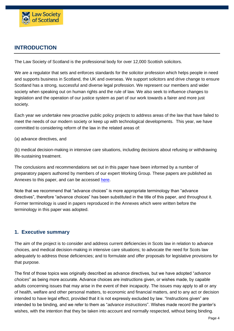

# <span id="page-3-0"></span>**INTRODUCTION**

The Law Society of Scotland is the professional body for over 12,000 Scottish solicitors.

We are a regulator that sets and enforces standards for the solicitor profession which helps people in need and supports business in Scotland, the UK and overseas. We support solicitors and drive change to ensure Scotland has a strong, successful and diverse legal profession. We represent our members and wider society when speaking out on human rights and the rule of law. We also seek to influence changes to legislation and the operation of our justice system as part of our work towards a fairer and more just society.

Each year we undertake new proactive public policy projects to address areas of the law that have failed to meet the needs of our modern society or keep up with technological developments. This year, we have committed to considering reform of the law in the related areas of:

(a) advance directives, and

(b) medical decision-making in intensive care situations, including decisions about refusing or withdrawing life-sustaining treatment.

The conclusions and recommendations set out in this paper have been informed by a number of preparatory papers authored by members of our expert Working Group. These papers are published as Annexes to this paper, and can be accessed [here.](https://www.lawscot.org.uk/research-and-policy/influencing-the-law-and-policy/our-proactive-policy-work/)

Note that we recommend that "advance choices" is more appropriate terminology than "advance directives", therefore "advance choices" has been substituted in the title of this paper, and throughout it. Former terminology is used in papers reproduced in the Annexes which were written before the terminology in this paper was adopted.

## <span id="page-3-1"></span>**1. Executive summary**

The aim of the project is to consider and address current deficiencies in Scots law in relation to advance choices, and medical decision-making in intensive care situations; to advocate the need for Scots law adequately to address those deficiencies; and to formulate and offer proposals for legislative provisions for that purpose.

The first of those topics was originally described as advance directives, but we have adopted "*advance choices*" as being more accurate. Advance choices are instructions given, or wishes made, by capable adults concerning issues that may arise in the event of their incapacity. The issues may apply to all or any of health, welfare and other personal matters, to economic and financial matters, and to any act or decision intended to have legal effect, provided that it is not expressly excluded by law. "Instructions given" are intended to be binding, and we refer to them as "*advance instructions*". Wishes made record the granter's wishes, with the intention that they be taken into account and normally respected, without being binding.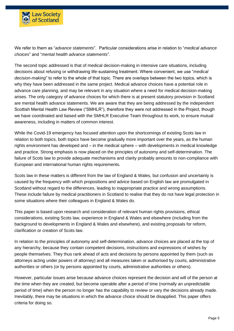

We refer to them as "*advance statements*". Particular considerations arise in relation to "*medical advance choices*" and "*mental health advance statements*".

The second topic addressed is that of medical decision-making in intensive care situations, including decisions about refusing or withdrawing life-sustaining treatment. Where convenient, we use "*medical decision-making*" to refer to the whole of that topic. There are overlaps between the two topics, which is why they have been addressed in the same project. Medical advance choices have a potential role in advance care planning, and may be relevant in any situation where a need for medical decision-making arises. The only category of advance choices for which there is at present statutory provision in Scotland are mental health advance statements. We are aware that they are being addressed by the independent Scottish Mental Health Law Review ("SMHLR"), therefore they were not addressed in the Project, though we have coordinated and liaised with the SMHLR Executive Team throughout its work, to ensure mutual awareness, including in matters of common interest.

While the Covid-19 emergency has focused attention upon the shortcomings of existing Scots law in relation to both topics, both topics have become gradually more important over the years, as the human rights environment has developed and – in the medical sphere – with developments in medical knowledge and practice. Strong emphasis is now placed on the principles of autonomy and self-determination. The failure of Scots law to provide adequate mechanisms and clarity probably amounts to non-compliance with European and international human rights requirements.

Scots law in these matters is different from the law of England & Wales, but confusion and uncertainty is caused by the frequency with which propositions and advice based on English law are promulgated in Scotland without regard to the differences, leading to inappropriate practice and wrong assumptions. These include failure by medical practitioners in Scotland to realise that they do not have legal protection in some situations where their colleagues in England & Wales do.

This paper is based upon research and consideration of relevant human rights provisions, ethical considerations, existing Scots law, experience in England & Wales and elsewhere (including from the background to developments in England & Wales and elsewhere), and existing proposals for reform, clarification or creation of Scots law.

In relation to the principles of autonomy and self-determination, advance choices are placed at the top of any hierarchy, because they contain competent decisions, instructions and expressions of wishes by people themselves. They thus rank ahead of acts and decisions by persons appointed by them (such as attorneys acting under powers of attorney) and all measures taken or authorised by courts, administrative authorities or others (or by persons appointed by courts, administrative authorities or others).

However, particular issues arise because advance choices represent the decision and will of the person at the time when they are created, but become operable after a period of time (normally an unpredictable period of time) when the person no longer has the capability to review or vary the decisions already made. Inevitably, there may be situations in which the advance choice should be disapplied. This paper offers criteria for doing so.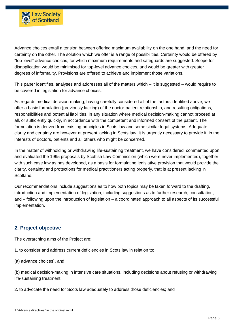

Advance choices entail a tension between offering maximum availability on the one hand, and the need for certainty on the other. The solution which we offer is a range of possibilities. Certainty would be offered by "top-level" advance choices, for which maximum requirements and safeguards are suggested. Scope for disapplication would be minimised for top-level advance choices, and would be greater with greater degrees of informality. Provisions are offered to achieve and implement those variations.

This paper identifies, analyses and addresses all of the matters which – it is suggested – would require to be covered in legislation for advance choices.

As regards medical decision-making, having carefully considered all of the factors identified above, we offer a basic formulation (previously lacking) of the doctor-patient relationship, and resulting obligations, responsibilities and potential liabilities, in any situation where medical decision-making cannot proceed at all, or sufficiently quickly, in accordance with the competent and informed consent of the patient. The formulation is derived from existing principles in Scots law and some similar legal systems. Adequate clarity and certainty are however at present lacking in Scots law. It is urgently necessary to provide it, in the interests of doctors, patients and all others who might be concerned.

In the matter of withholding or withdrawing life-sustaining treatment, we have considered, commented upon and evaluated the 1995 proposals by Scottish Law Commission (which were never implemented), together with such case law as has developed, as a basis for formulating legislative provision that would provide the clarity, certainty and protections for medical practitioners acting properly, that is at present lacking in Scotland.

Our recommendations include suggestions as to how both topics may be taken forward to the drafting, introduction and implementation of legislation, including suggestions as to further research, consultation, and – following upon the introduction of legislation – a coordinated approach to all aspects of its successful implementation.

## <span id="page-5-0"></span>**2. Project objective**

The overarching aims of the Project are:

1. to consider and address current deficiencies in Scots law in relation to:

(a) advance choices<sup>1</sup>, and

(b) medical decision-making in intensive care situations, including decisions about refusing or withdrawing life-sustaining treatment;

2. to advocate the need for Scots law adequately to address those deficiencies; and

<sup>1</sup> "Advance directives" in the original remit.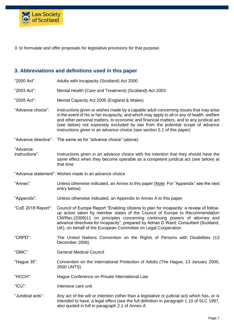

<span id="page-6-0"></span>3. to formulate and offer proposals for legislative provisions for that purpose.

#### **3. Abbreviations and definitions used in this paper**

"2000 Act": Adults with Incapacity (Scotland) Act 2000 "2003 Act": Mental Health (Care and Treatment) (Scotland) Act 2003 "2005 Act": Mental Capacity Act 2005 (England & Wales) "Advance choice": Instructions given or wishes made by a capable adult concerning issues that may arise in the event of his or her incapacity, and which may apply to all or any of health, welfare and other personal matters, to economic and financial matters, and to any juridical act (see below) not expressly excluded by law from the potential scope of advance instructions given in an advance choice (see section 5.1 of this paper) "Advance directive": The same as for "advance choice" (above) "Advance<br>instructions": Instructions given in an advance choice with the intention that they should have the same effect when they become operable as a competent juridical act (see below) at that time "Advance statement": Wishes made in an advance choice "Annex": Unless otherwise indicated, an Annex to this paper (Note: For "Appendix" see the next entry below) "Appendix": Unless otherwise indicated, an Appendix to Annex A to this paper "CoE 2018 Report": Council of Europe Report "Enabling citizens to plan for incapacity: a review of followup action taken by member states of the Council of Europe to Recommendation CM/Rec.(2009)11 on principles concerning continuing powers of attorney and advance directives for incapacity", prepared by Adrian D Ward, Consultant (Scotland, UK), on behalf of the European Committee on Legal Cooperation "CRPD": The United Nations Convention on the Rights of Persons with Disabilities (13 December 2006) "GMC": General Medical Council "Hague 35": Convention on the International Protection of Adults (The Hague, 13 January 2000, 2600 UNTS) "HCCH": Hague Conference on Private International Law "ICU": Intensive care unit "Juridical acts": Any act of the will or intention (other than a legislative or judicial act) which has, or is intended to have, a legal effect (see the full definition in paragraph 1.10 of SLC 1997, also quoted in full in paragraph 2.1 of Annex A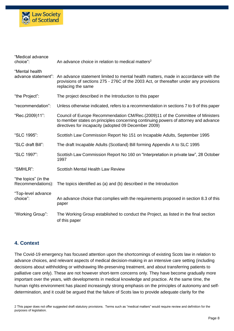

| "Medical advance<br>choice":              | An advance choice in relation to medical matters <sup>2</sup>                                                                                                                                                                  |
|-------------------------------------------|--------------------------------------------------------------------------------------------------------------------------------------------------------------------------------------------------------------------------------|
| "Mental health                            | advance statement": An advance statement limited to mental health matters, made in accordance with the<br>provisions of sections 275 - 276C of the 2003 Act, or thereafter under any provisions<br>replacing the same          |
| "the Project":                            | The project described in the Introduction to this paper                                                                                                                                                                        |
| "recommendation":                         | Unless otherwise indicated, refers to a recommendation in sections 7 to 9 of this paper                                                                                                                                        |
| "Rec.(2009)11":                           | Council of Europe Recommendation CM/Rec. (2009)11 of the Committee of Ministers<br>to member states on principles concerning continuing powers of attorney and advance<br>directives for incapacity (adopted 09 December 2009) |
| "SLC 1995":                               | Scottish Law Commission Report No 151 on Incapable Adults, September 1995                                                                                                                                                      |
| "SLC draft Bill":                         | The draft Incapable Adults (Scotland) Bill forming Appendix A to SLC 1995                                                                                                                                                      |
| "SLC 1997":                               | Scottish Law Commission Report No 160 on "Interpretation in private law", 28 October<br>1997                                                                                                                                   |
| "SMHLR":                                  | <b>Scottish Mental Health Law Review</b>                                                                                                                                                                                       |
| "the topics" (in the<br>Recommendations): | The topics identified as (a) and (b) described in the Introduction                                                                                                                                                             |
| "Top-level advance<br>choice":            | An advance choice that complies with the requirements proposed in section 8.3 of this<br>paper                                                                                                                                 |
| "Working Group":                          | The Working Group established to conduct the Project, as listed in the final section<br>of this paper                                                                                                                          |

## <span id="page-7-0"></span>**4. Context**

The Covid-19 emergency has focused attention upon the shortcomings of existing Scots law in relation to advance choices, and relevant aspects of medical decision-making in an intensive care setting (including decisions about withholding or withdrawing life-preserving treatment, and about transferring patients to palliative care only). These are not however short-term concerns only. They have become gradually more important over the years, with developments in medical knowledge and practice. At the same time, the human rights environment has placed increasingly strong emphasis on the principles of autonomy and selfdetermination, and it could be argued that the failure of Scots law to provide adequate clarity for the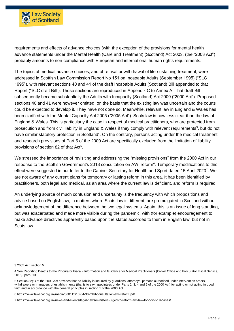

requirements and effects of advance choices (with the exception of the provisions for mental health advance statements under the Mental Health (Care and Treatment) (Scotland) Act 2003, (the "2003 Act") probably amounts to non-compliance with European and international human rights requirements.

The topics of medical advance choices, and of refusal or withdrawal of life-sustaining treatment, were addressed in Scottish Law Commission Report No 151 on Incapable Adults (September 1995) ("SLC 1995"), with relevant sections 40 and 41 of the draft Incapable Adults (Scotland) Bill appended to that Report ("SLC draft Bill"). Those sections are reproduced in Appendix C to Annex A. That draft Bill subsequently became substantially the Adults with Incapacity (Scotland) Act 2000 ("2000 Act"). Proposed sections 40 and 41 were however omitted, on the basis that the existing law was uncertain and the courts could be expected to develop it. They have not done so. Meanwhile, relevant law in England & Wales has been clarified with the Mental Capacity Act 2005 ("2005 Act"). Scots law is now less clear than the law of England & Wales. This is particularly the case in respect of medical practitioners, who are protected from prosecution and from civil liability in England & Wales if they comply with relevant requirements<sup>3</sup>, but do not have similar statutory protection in Scotland<sup>4</sup>. On the contrary, persons acting under the medical treatment and research provisions of Part 5 of the 2000 Act are specifically excluded from the limitation of liability provisions of section 82 of that Act<sup>5</sup>.

We stressed the importance of revisiting and addressing the "missing provisions" from the 2000 Act in our response to the Scottish Government's 2018 consultation on AWI reform<sup>6</sup>. Temporary modifications to this effect were suggested in our letter to the Cabinet Secretary for Health and Sport dated 15 April 2020<sup>7</sup>. We are not aware of any current plans for temporary or lasting reform in this area. It has been identified by practitioners, both legal and medical, as an area where the current law is deficient, and reform is required.

An underlying source of much confusion and uncertainty is the frequency with which propositions and advice based on English law, in matters where Scots law is different, are promulgated in Scotland without acknowledgement of the difference between the two legal systems. Again, this is an issue of long standing, but was exacerbated and made more visible during the pandemic, with (for example) encouragement to make advance directives apparently based upon the status accorded to them in English law, but not in Scots law.

3 2005 Act, section 5.

6 [https://www.lawscot.org.uk/media/360115/18-04-30-mhd-consultation-awi-reform.pdf.](https://www.lawscot.org.uk/media/360115/18-04-30-mhd-consultation-awi-reform.pdf)

<sup>4</sup> See Reporting Deaths to the Procurator Fiscal - Information and Guidance for Medical Practitioners (Crown Office and Procurator Fiscal Service, 2015), para. 13.

<sup>5</sup> Section 82(1) of the 2000 Act provides that no liability is incurred by guardians, attorneys, persons authorised under intervention orders, withdrawers or managers of establishments (that is to say, appointees under Parts 2, 3, 4 and 6 of the 2000 Act) for acting or not acting in good faith and in accordance with the general principles in section 1 of the 2000 Act.

<sup>7</sup> [https://www.lawscot.org.uk/news-and-events/legal-news/ministers-urged-to-reform-awi-law-for-covid-19-cases/.](https://www.lawscot.org.uk/news-and-events/legal-news/ministers-urged-to-reform-awi-law-for-covid-19-cases/)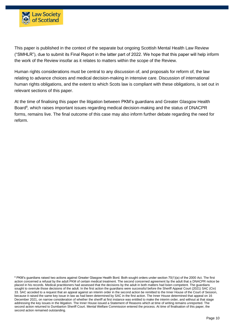

This paper is published in the context of the separate but ongoing Scottish Mental Health Law Review ("SMHLR"), due to submit its Final Report in the latter part of 2022. We hope that this paper will help inform the work of the Review insofar as it relates to matters within the scope of the Review.

Human rights considerations must be central to any discussion of, and proposals for reform of, the law relating to advance choices and medical decision-making in intensive care. Discussion of international human rights obligations, and the extent to which Scots law is compliant with these obligations, is set out in relevant sections of this paper.

At the time of finalising this paper the litigation between PKM's guardians and Greater Glasgow Health Board<sup>8</sup>, which raises important issues regarding medical decision-making and the status of DNACPR forms, remains live. The final outcome of this case may also inform further debate regarding the need for reform.

<sup>&</sup>lt;sup>8</sup> PKM's guardians raised two actions against Greater Glasgow Health Bord. Both sought orders under section 70(1)(a) of the 2000 Act. The first action concerned a refusal by the adult PKM of certain medical treatment. The second concerned agreement by the adult that a DNACPR notice be placed in his records. Medical practitioners had assessed that the decisions by the adult in both matters had been competent. The guardians sought to overrule those decisions of the adult. In the first action the guardians were successful before the Sheriff Appeal Court (2021) SAC (Civ) 33. SAC acceded to a request that an appeal against an interim order in the second action be remitted to the Inner House of the Court of Session, because it raised the same key issue in law as had been determined by SAC in the first action. The Inner House determined that appeal on 16 December 2021, on narrow consideration of whether the sheriff at first instance was entitled to make the interim order, and without at that stage addressing the key issues in the litigation. The Inner House issued a Statement of Reasons which at time of writing remains unreported. The second action returned to Dumbarton Sheriff Court. Mental Welfare Commission entered the process. At time of finalisation of this paper, the second action remained outstanding.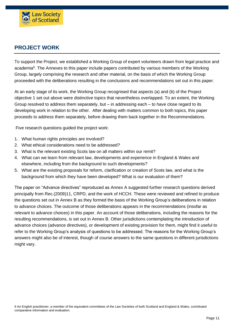

# <span id="page-10-0"></span>**PROJECT WORK**

To support the Project, we established a Working Group of expert volunteers drawn from legal practice and academia<sup>9</sup>. The Annexes to this paper include papers contributed by various members of the Working Group, largely comprising the research and other material, on the basis of which the Working Group proceeded with the deliberations resulting in the conclusions and recommendations set out in this paper.

At an early stage of its work, the Working Group recognised that aspects (a) and (b) of the Project objective 1 set out above were distinctive topics that nevertheless overlapped. To an extent, the Working Group resolved to address them separately, but  $-$  in addressing each  $-$  to have close regard to its developing work in relation to the other. After dealing with matters common to both topics, this paper proceeds to address them separately, before drawing them back together in the Recommendations.

Five research questions guided the project work:

- 1. What human rights principles are involved?
- 2. What ethical considerations need to be addressed?
- 3. What is the relevant existing Scots law on all matters within our remit?
- 4. What can we learn from relevant law, developments and experience in England & Wales and elsewhere, including from the background to such developments?
- 5. What are the existing proposals for reform, clarification or creation of Scots law, and what is the background from which they have been developed? What is our evaluation of them?

The paper on "Advance directives" reproduced as Annex A suggested further research questions derived principally from Rec.(2009)11, CRPD, and the work of HCCH. These were reviewed and refined to produce the questions set out in Annex B as they formed the basis of the Working Group's deliberations in relation to advance choices. The outcome of those deliberations appears in the recommendations (insofar as relevant to advance choices) in this paper. An account of those deliberations, including the reasons for the resulting recommendations, is set out in Annex B. Other jurisdictions contemplating the introduction of advance choices (advance directives), or development of existing provision for them, might find it useful to refer to the Working Group's analysis of questions to be addressed. The reasons for the Working Group's answers might also be of interest, though of course answers to the same questions in different jurisdictions might vary.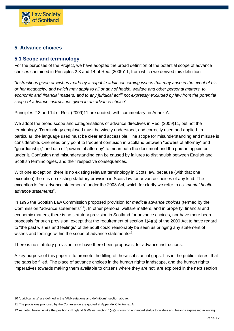

## <span id="page-11-0"></span>**5. Advance choices**

## <span id="page-11-1"></span>**5.1 Scope and terminology**

For the purposes of the Project, we have adopted the broad definition of the potential scope of advance choices contained in Principles 2.3 and 14 of Rec. (2009)11, from which we derived this definition:

"*Instructions given or wishes made by a capable adult concerning issues that may arise in the event of his or her incapacity, and which may apply to all or any of health, welfare and other personal matters, to economic and financial matters, and to any juridical act<sup>10</sup> not expressly excluded by law from the potential scope of advance instructions given in an advance choice*"

Principles 2.3 and 14 of Rec. (2009)11 are quoted, with commentary, in Annex A.

We adopt the broad scope and categorisations of advance directives in Rec. (2009)11, but not the terminology. Terminology employed must be widely understood, and correctly used and applied. In particular, the language used must be clear and accessible. The scope for misunderstanding and misuse is considerable. One need only point to frequent confusion in Scotland between "powers of attorney" and "guardianship," and use of "powers of attorney" to mean both the document and the person appointed under it. Confusion and misunderstanding can be caused by failures to distinguish between English and Scottish terminologies, and their respective consequences.

With one exception, there is no existing relevant terminology in Scots law, because (with that one exception) there is no existing statutory provision in Scots law for advance choices of any kind. The exception is for "advance statements" under the 2003 Act, which for clarity we refer to as "*mental health advance statements*".

In 1995 the Scottish Law Commission proposed provision for *medical advance choices* (termed by the Commission "advance statements"<sup>11</sup>). In other personal welfare matters, and in property, financial and economic matters, there is no statutory provision in Scotland for advance choices, nor have there been proposals for such provision, except that the requirement of section 1(4)(a) of the 2000 Act to have regard to "the past wishes and feelings" of the adult could reasonably be seen as bringing any statement of wishes and feelings within the scope of advance statements<sup>12</sup>.

There is no statutory provision, nor have there been proposals, for advance instructions.

A key purpose of this paper is to promote the filling of those substantial gaps. It is in the public interest that the gaps be filled. The place of advance choices in the human rights landscape, and the human rights imperatives towards making them available to citizens where they are not, are explored in the next section

<sup>10</sup> "Juridical acts" are defined in the "Abbreviations and definitions" section above.

<sup>11</sup> The provisions proposed by the Commission are quoted at Appendix C to Annex A.

<sup>12</sup> As noted below, unlike the position in England & Wales, section 1(4)(a) gives no enhanced status to wishes and feelings expressed in writing.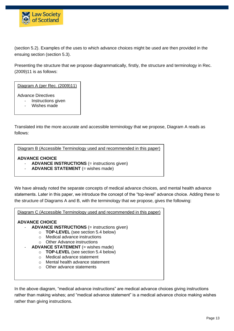

(section 5.2). Examples of the uses to which advance choices might be used are then provided in the ensuing section (section 5.3).

Presenting the structure that we propose diagrammatically, firstly, the structure and terminology in Rec. (2009)11 is as follows:

Diagram A (per Rec. (2009)11)

Advance Directives

- Instructions given
- Wishes made

Translated into the more accurate and accessible terminology that we propose, Diagram A reads as follows:

Diagram B (Accessible Terminology used and recommended in this paper)

#### **ADVANCE CHOICE**

- ADVANCE INSTRUCTIONS (= instructions given)
- **ADVANCE STATEMENT** (= wishes made)

We have already noted the separate concepts of medical advance choices, and mental health advance statements. Later in this paper, we introduce the concept of the "top-level" advance choice. Adding these to the structure of Diagrams A and B, with the terminology that we propose, gives the following:

Diagram C (Accessible Terminology used and recommended in this paper)

#### **ADVANCE CHOICE**

- **ADVANCE INSTRUCTIONS** (= instructions given)
	- o **TOP-LEVEL** (see section 5.4 below)
	- o Medical advance instructions
	- o Other Advance instructions
- **ADVANCE STATEMENT** (= wishes made)
	- o **TOP-LEVEL** (see section 5.4 below)
		- o Medical advance statement
		- o Mental health advance statement
		- o Other advance statements

In the above diagram, "medical advance instructions" are medical advance choices giving instructions rather than making wishes; and "medical advance statement" is a medical advance choice making wishes rather than giving instructions.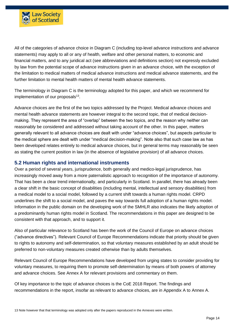

All of the categories of advance choice in Diagram C (including top-level advance instructions and advance statements) may apply to all or any of health, welfare and other personal matters, to economic and financial matters, and to any juridical act (see abbreviations and definitions section) not expressly excluded by law from the potential scope of advance instructions given in an advance choice, with the exception of the limitation to medical matters of medical advance instructions and medical advance statements, and the further limitation to mental health matters of mental health advance statements.

The terminology in Diagram C is the terminology adopted for this paper, and which we recommend for implementation of our proposals<sup>13</sup>.

Advance choices are the first of the two topics addressed by the Project. Medical advance choices and mental health advance statements are however integral to the second topic, that of medical decisionmaking. They represent the area of "overlap" between the two topics, and the reason why neither can reasonably be considered and addressed without taking account of the other. In this paper, matters generally relevant to all advance choices are dealt with under "advance choices", but aspects particular to the medical sphere are dealt with under "medical decision-making". Note also that such case law as has been developed relates entirely to medical advance choices, but in general terms may reasonably be seen as stating the current position in law (in the absence of legislative provision) of all advance choices.

#### <span id="page-13-0"></span>**5.2 Human rights and international instruments**

Over a period of several years, jurisprudence, both generally and medico-legal jurisprudence, has increasingly moved away from a more paternalistic approach to recognition of the importance of autonomy. That has been a clear trend internationally, and particularly in Scotland. In parallel, there has already been a clear shift in the basic concept of disabilities (including mental, intellectual and sensory disabilities) from a medical model to a social model, followed by a current shift towards a human rights model. CRPD underlines the shift to a social model, and paves the way towards full adoption of a human rights model. Information in the public domain on the developing work of the SMHLR also indicates the likely adoption of a predominantly human rights model in Scotland. The recommendations in this paper are designed to be consistent with that approach, and to support it.

Also of particular relevance to Scotland has been the work of the Council of Europe on advance choices ("advance directives"). Relevant Council of Europe Recommendations indicate that priority should be given to rights to autonomy and self-determination, so that voluntary measures established by an adult should be preferred to non-voluntary measures created otherwise than by adults themselves.

Relevant Council of Europe Recommendations have developed from urging states to consider providing for voluntary measures, to requiring them to promote self-determination by means of both powers of attorney and advance choices. See Annex A for relevant provisions and commentary on them.

Of key importance to the topic of advance choices is the CoE 2018 Report. The findings and recommendations in the report, insofar as relevant to advance choices, are in Appendix A to Annex A.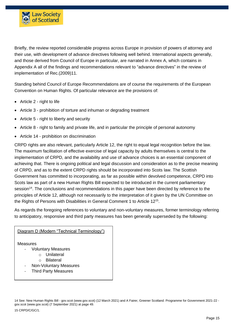

Briefly, the review reported considerable progress across Europe in provision of powers of attorney and their use, with development of advance directives following well behind. International aspects generally, and those derived from Council of Europe in particular, are narrated in Annex A, which contains in Appendix A all of the findings and recommendations relevant to "advance directives" in the review of implementation of Rec.(2009)11.

Standing behind Council of Europe Recommendations are of course the requirements of the European Convention on Human Rights. Of particular relevance are the provisions of:

- Article 2 right to life
- Article 3 prohibition of torture and inhuman or degrading treatment
- Article 5 right to liberty and security
- Article 8 right to family and private life, and in particular the principle of personal autonomy
- Article 14 prohibition on discrimination

CRPD rights are also relevant, particularly Article 12, the right to equal legal recognition before the law. The maximum facilitation of effective exercise of legal capacity by adults themselves is central to the implementation of CRPD, and the availability and use of advance choices is an essential component of achieving that. There is ongoing political and legal discussion and consideration as to the precise meaning of CRPD, and as to the extent CRPD rights should be incorporated into Scots law. The Scottish Government has committed to incorporating, as far as possible within devolved competence, CRPD into Scots law as part of a new Human Rights Bill expected to be introduced in the current parliamentary session<sup>14</sup>. The conclusions and recommendations in this paper have been directed by reference to the principles of Article 12, although not necessarily to the interpretation of it given by the UN Committee on the Rights of Persons with Disabilities in General Comment 1 to Article 12<sup>15</sup>.

As regards the foregoing references to voluntary and non-voluntary measures, former terminology referring to anticipatory, responsive and third party measures has been generally superseded by the following:

#### Diagram D (Modern "Technical Terminology")

Measures

- Voluntary Measures
	- o Unilateral
	- o Bilateral
- Non-Voluntary Measures
- Third Party Measures

15 CRPD/C/GC/1.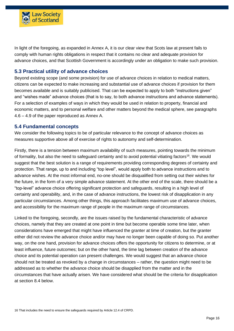

In light of the foregoing, as expanded in Annex A, it is our clear view that Scots law at present fails to comply with human rights obligations in respect that it contains no clear and adequate provision for advance choices, and that Scottish Government is accordingly under an obligation to make such provision.

## <span id="page-15-0"></span>**5.3 Practical utility of advance choices**

Beyond existing scope (and some provision) for use of advance choices in relation to medical matters, citizens can be expected to make increasing and substantial use of advance choices if provision for them becomes available and is suitably publicised. That can be expected to apply to both "instructions given" and "wishes made" advance choices (that is to say, to both advance instructions and advance statements). For a selection of examples of ways in which they would be used in relation to property, financial and economic matters, and to personal welfare and other matters beyond the medical sphere, see paragraphs 4.6 – 4.9 of the paper reproduced as Annex A.

#### <span id="page-15-1"></span>**5.4 Fundamental concepts**

We consider the following topics to be of particular relevance to the concept of advance choices as measures supportive above all of exercise of rights to autonomy and self-determination.

Firstly, there is a tension between maximum availability of such measures, pointing towards the minimum of formality, but also the need to safeguard certainty and to avoid potential vitiating factors<sup>16</sup>. We would suggest that the best solution is a range of requirements providing corresponding degrees of certainty and protection. That range, up to and including "top level", would apply both to advance instructions and to advance wishes. At the most informal end, no-one should be disqualified from setting out their wishes for the future, in the form of a very simple advance statement. At the other end of the scale, there should be a "top-level" advance choice offering significant protection and safeguards, resulting in a high level of certainty and operability, and, in the case of advance instructions, the lowest risk of disapplication in any particular circumstances. Among other things, this approach facilitates maximum use of advance choices, and accessibility for the maximum range of people in the maximum range of circumstances.

Linked to the foregoing, secondly, are the issues raised by the fundamental characteristic of advance choices, namely that they are created at one point in time but become operable some time later, when considerations have emerged that might have influenced the granter at time of creation, but the granter either did not review the advance choice and/or may have no longer been capable of doing so. Put another way, on the one hand, provision for advance choices offers the opportunity for citizens to determine, or at least influence, future outcomes; but on the other hand, the time lag between creation of the advance choice and its potential operation can present challenges. We would suggest that an advance choice should not be treated as revoked by a change in circumstances – rather, the question might need to be addressed as to whether the advance choice should be disapplied from the matter and in the circumstances that have actually arisen. We have considered what should be the criteria for disapplication at section 8.4 below.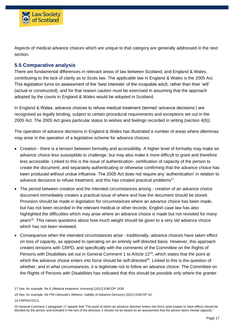

Aspects of medical advance choices which are unique to that category are generally addressed in the next section.

## <span id="page-16-0"></span>**5.5 Comparative analysis**

There are fundamental differences in relevant areas of law between Scotland, and England & Wales, contributing to the lack of clarity as to Scots law. The applicable law in England & Wales is the 2005 Act. This legislation turns on assessment of the 'best interests' of the incapable adult, rather than their 'will' (actual or constructed), and for that reason caution must be exercised in assuming that the approach adopted by the courts in England & Wales would be adopted in Scotland.

In England & Wales, advance choices to refuse medical treatment (termed 'advance decisions') are recognised as legally binding, subject to certain procedural requirements and exceptions set out in the 2005 Act. The 2005 Act gives particular status to wishes and feelings recorded in writing (section 4(6)).

The operation of advance decisions in England & Wales has illustrated a number of areas where dilemmas may arise in the operation of a legislative scheme for advance choices:

- Creation there is a tension between formality and accessibility. A higher level of formality may make an advance choice less susceptible to challenge, but may also make it more difficult to grant and therefore less accessible. Linked to this is the issue of authentication- certification of capacity of the person to create the document, and separately authenticating or otherwise confirming that the advance choice has been produced without undue influence. The 2005 Act does not require any 'authentication' in relation to advance decisions to refuse treatment, and this has created practical problems<sup>17</sup>.
- The period between creation and the intended circumstances arising creation of an advance choice document immediately creates a practical issue of where and how the document should be stored. Provision should be made in legislation for circumstances where an advance choice has been made, but has not been recorded in the relevant medical or other records. English case law has also highlighted the difficulties which may arise where an advance choice is made but not revisited for many years<sup>18</sup>. This raises questions about how much weight should be given to a very old advance choice which has not been reviewed.
- Consequence when the intended circumstances arise traditionally, advance choices have taken effect on loss of capacity, as opposed to operating on an entirely self-directed basis. However, this approach creates tensions with CRPD, and specifically with the comments of the Committee on the Rights of Persons with Disabilities set out in General Comment 1 to Article 12<sup>19</sup>, which states that the point at which the advance choice enters into force should be self-directed<sup>20</sup>. Linked to this is the question of whether, and in what circumstances, it is legitimate not to follow an advance choice. The Committee on the Rights of Persons with Disabilities has indicated that this should be possible only where the granter

<sup>17</sup> See, for example, *Re E (Medical treatment: Anorexia)* [2012] EWCOP 1639.

<sup>18</sup> See, for example, *Re PW (Jehovah's Witness: Validity of Advance Decision)* [2021] EWCOP 52.

<sup>19</sup> CRPD/C/GC/1.

<sup>20</sup> General Comment 1 paragraph 17 asserts that "The point at which an advance directive enters into force (and ceases to have effect) should be decided by the person and included in the text of the directive; it should not be based on an assessment that the person lacks mental capacity."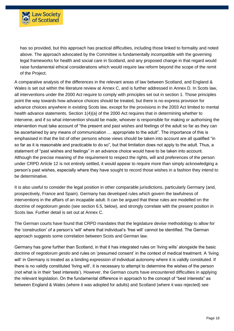

has so provided, but this approach has practical difficulties, including those linked to formality and noted above. The approach advocated by the Committee is fundamentally incompatible with the governing legal frameworks for health and social care in Scotland, and any proposed change in that regard would raise fundamental ethical considerations which would require law reform beyond the scope of the remit of the Project.

A comparative analysis of the differences in the relevant areas of law between Scotland, and England & Wales is set out within the literature review at Annex C, and is further addressed in Annex D. In Scots law, all interventions under the 2000 Act require to comply with principles set out in section 1. Those principles point the way towards how advance choices should be treated, but there is no express provision for advance choices anywhere in existing Scots law, except for the provisions in the 2003 Act limited to mental health advance statements. Section 1(4)(a) of the 2000 Act requires that in determining whether to intervene, and if so what intervention should be made, whoever is responsible for making or authorising the intervention must take account of "the present and past wishes and feelings of the adult so far as they can be ascertained by any means of communication … appropriate to the adult". The importance of this is emphasised in that the list of other persons whose views should be taken into account are all qualified "in so far as it is reasonable and practicable to do so", but that limitation does not apply to the adult. Thus, a statement of "past wishes and feelings" in an advance choice would have to be taken into account. Although the precise meaning of the requirement to respect the rights, will and preferences of the person under CRPD Article 12 is not entirely settled, it would appear to require more than simply acknowledging a person's past wishes, especially where they have sought to record those wishes in a fashion they intend to be determinative.

It is also useful to consider the legal position in other comparable jurisdictions, particularly Germany (and, prospectively, France and Spain). Germany has developed rules which govern the lawfulness of interventions in the affairs of an incapable adult. It can be argued that these rules are modelled on the doctrine of *negotiorum gestio* (see section 6.5, below), and strongly correlate with the present position in Scots law. Further detail is set out at Annex C.

The German courts have found that CRPD mandates that the legislature devise methodology to allow for the 'construction' of a person's 'will' where that individual's 'free will' cannot be identified. The German approach suggests some correlation between Scots and German law.

Germany has gone further than Scotland, in that it has integrated rules on 'living wills' alongside the basic doctrine of *negotiorum gestio* and rules on 'presumed consent' in the context of medical treatment. A 'living will' in Germany is treated as a binding expression of individual autonomy where it is validly constituted. If there is no validly constituted 'living will', it is necessary to attempt to determine the wishes of the person (not what is in their 'best interests'). However, the German courts have encountered difficulties in applying the relevant legislation. On the fundamental difference in approach to the concept of "best interests" as between England & Wales (where it was adopted for adults) and Scotland (where it was rejected) see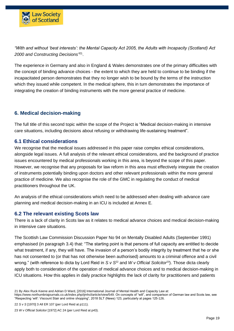

*"With and without 'best interests': the Mental Capacity Act 2005, the Adults with Incapacity (Scotland) Act*  2000 and Constructing Decisions<sup>"21</sup>.

The experience in Germany and also in England & Wales demonstrates one of the primary difficulties with the concept of binding advance choices - the extent to which they are held to continue to be binding if the incapacitated person demonstrates that they no longer wish to be bound by the terms of the instruction which they issued while competent. In the medical sphere, this in turn demonstrates the importance of integrating the creation of binding instruments with the more general practice of medicine.

## <span id="page-18-0"></span>**6. Medical decision-making**

The full title of this second topic within the scope of the Project is "Medical decision-making in intensive care situations, including decisions about refusing or withdrawing life-sustaining treatment".

#### <span id="page-18-1"></span>**6.1 Ethical considerations**

We recognise that the medical issues addressed in this paper raise complex ethical considerations, alongside legal issues. A full analysis of the relevant ethical considerations, and the background of practice issues encountered by medical professionals working in this area, is beyond the scope of this paper. However, we recognise that any proposals for law reform in this area must effectively integrate the creation of instruments potentially binding upon doctors and other relevant professionals within the more general practice of medicine. We also recognise the role of the GMC in regulating the conduct of medical practitioners throughout the UK.

An analysis of the ethical considerations which need to be addressed when dealing with advance care planning and medical decision-making in an ICU is included at Annex E.

#### <span id="page-18-2"></span>**6.2 The relevant existing Scots law**

There is a lack of clarity in Scots law as it relates to medical advance choices and medical decision-making in intensive care situations.

The Scottish Law Commission Discussion Paper No 94 on Mentally Disabled Adults (September 1991) emphasised (in paragraph 3.4) that: "The starting point is that persons of full capacity are entitled to decide what treatment, if any, they will have. The invasion of a person's bodily integrity by treatment that he or she has not consented to (or that has not otherwise been authorised) amounts to a criminal offence and a civil wrong." (with reference to dicta by Lord Reid in *S v S*<sup>22</sup> and *W v Official Solicitor*<sup>23</sup>). Those dicta clearly apply both to consideration of the operation of medical advance choices and to medical decision-making in ICU situations. How this applies in daily practice highlights the lack of clarity for practitioners and patients

[https://www.northumbriajournals.co.uk/index.php/ijmhcl/article/view/549.](https://www.northumbriajournals.co.uk/index.php/ijmhcl/article/view/549) On concepts of "will", and comparison of German law and Scots law, see "Respecting 'will': Viscount Stair and online shopping", 2018 SLT (News) 123, particularly at pages 125-126.

<sup>21</sup> By Alex Ruck Keene and Adrian D Ward, [2016] International Journal of Mental Health and Capacity Law at:

<sup>22</sup> *S v S* [1970] 3 All ER 107 (per Lord Reid at p111).

<sup>23</sup> *W v Official Solicitor* [1972] AC 24 (per Lord Reid at p43).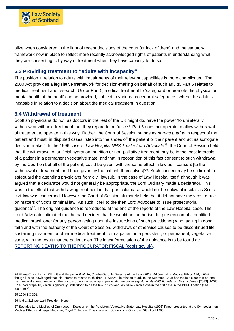

alike when considered in the light of recent decisions of the court (or lack of them) and the statutory framework now in place to reflect more recently acknowledged rights of patients in understanding what they are consenting to by way of treatment when they have capacity to do so.

## <span id="page-19-0"></span>**6.3 Providing treatment to "adults with incapacity"**

The position in relation to adults with impairments of their relevant capabilities is more complicated. The 2000 Act provides a legislative framework for decision-making on behalf of such adults. Part 5 relates to medical treatment and research. Under Part 5, medical treatment to 'safeguard or promote the physical or mental health of the adult' can be provided, subject to various procedural safeguards, where the adult is incapable in relation to a decision about the medical treatment in question.

#### <span id="page-19-1"></span>**6.4 Withdrawal of treatment**

Scottish physicians do not, as doctors in the rest of the UK might do, have the power 'to unilaterally withdraw or withhold treatment that they regard to be futile'<sup>24</sup>. Part 5 does not operate to allow withdrawal of treatment to operate in this way. Rather, the Court of Session stands as *parens patriae* in respect of the patient and must, in disputed cases, 'step into the shoes of' the patient or their parent and act as surrogate decision-maker". In the 1996 case of *Law Hospital NHS Trust v Lord Advocate*<sup>25</sup> , the Court of Session held that the withdrawal of artificial hydration, nutrition or non-palliative treatment may be in the 'best interests' of a patient in a permanent vegetative state, and that in recognition of this fact consent to such withdrawal, by the Court on behalf of the patient, could be given 'with the same effect in law as if consent [to the withdrawal of treatment] had been given by the patient [themselves]'<sup>26</sup>. Such consent may be sufficient to safeguard the attending physicians from civil lawsuit. In the case of Law Hospital itself, although it was argued that a declarator would not generally be appropriate, the Lord Ordinary made a declarator. This was to the effect that withdrawing treatment in that particular case would not be unlawful insofar as Scots civil law was concerned. However the Court of Session ultimately held that it did not have the vires to rule on matters of Scots criminal law. As such, it fell to the then Lord Advocate to issue prosecutorial guidance<sup>27</sup>. The original guidance is reproduced at the end of the reports of the Law Hospital case. The Lord Advocate intimated that he had decided that he would not authorise the prosecution of a qualified medical practitioner (or any person acting upon the instructions of such practitioner) who, acting in good faith and with the authority of the Court of Session, withdraws or otherwise causes to be discontinued lifesustaining treatment or other medical treatment from a patient in a persistent, or permanent, vegetative state, with the result that the patient dies. The latest formulation of the guidance is to be found at: [REPORTING DEATHS TO THE PROCURATOR FISCAL \(copfs.gov.uk\).](https://www.copfs.gov.uk/images/Documents/Publications/Reporting%20Deaths%20to%20the%20Procurator%20Fiscal/Reporting%20Deaths%20to%20the%20Procurator%20Fiscal%20-%20Info%20for%20Medical%20Practitioners%20May%2019.pdf)

25 1996 SC 301.

26 Ibid at 315 per Lord President Hope.

27 See also Lord MacKay of Drumadoon, Decision on the Persistent Vegetative State: Law Hospital (1996) Paper presented at the Symposium on Medical Ethics and Legal Medicine, Royal College of Physicians and Surgeons of Glasgow, 26th April 1996.

<sup>24</sup> Eliana Close, Lindy Willmott and Benjamin P White, Charlie Gard: In Defence of the Law, (2018) 44 Journal of Medical Ethics 476, 476–7, though it is acknowledged that this reference relates to children. However, in relation to adults the Supreme Court has made it clear that no-one can demand a treatment which the doctors do not consider appropriate: *Aintree University Hospitals NHS Foundation Trust v James* [2013] UKSC 67 at paragraph 18, which is generally understood to be the law in Scotland, an issue which arose in the first case in the PKM litigation (see footnote 8).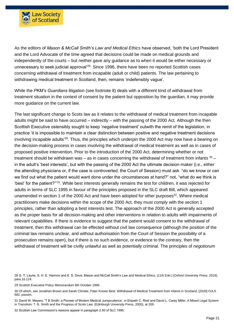

As the editors of *Mason & McCall Smith's Law and Medical Ethics* have observed, 'both the Lord President and the Lord Advocate of the time agreed that decisions could be made on medical grounds and independently of the courts – but neither gave any guidance as to when it would be either necessary or unnecessary to seek judicial approval'<sup>28</sup>. Since 1996, there have been no reported Scottish cases concerning withdrawal of treatment from incapable (adult or child) patients. The law pertaining to withdrawing medical treatment in Scotland, then, remains 'indefensibly vague'.

While the *PKM's Guardians* litigation (see footnote 8) deals with a different kind of withdrawal from treatment situation in the context of consent by the patient but opposition by the guardian, it may provide more guidance on the current law.

The last significant change to Scots law as it relates to the withdrawal of medical treatment from incapable adults might be said to have occurred – indirectly – with the passing of the 2000 Act. Although the then Scottish Executive ostensibly sought to keep 'negative treatment' outwith the remit of the legislation, in practice 'it is impossible to maintain a clear distinction between positive and negative treatment decisions involving incapable adults'<sup>29</sup>. Thus, the principles which underpin the 2000 Act may now have a bearing on the decision-making process in cases involving the withdrawal of medical treatment as well as in cases of proposed positive intervention. Prior to the introduction of the 2000 Act, determining whether or not treatment should be withdrawn was – as in cases concerning the withdrawal of treatment from infants  $30$ in the adult's 'best interests', but with the passing of the 2000 Act the ultimate decision-maker (i.e., either the attending physicians or, if the case is controverted, the Court of Session) must ask "do we know or can we find out what the patient would want done under the circumstances at hand?" not, "what do we think is 'best' for the patient?"<sup>31</sup>. While best interests generally remains the test for children, it was rejected for adults in terms of SLC 1995 in favour of the principles proposed in the SLC draft Bill, which appeared unamended in section 1 of the 2000 Act and have been adopted for other purposes $32$ . Where medical practitioners make decisions within the scope of the 2000 Act, they must comply with the section 1 principles, rather than adopting a best interests test. The approach of the 2000 Act is generally accepted as the proper basis for all decision-making and other interventions in relation to adults with impairments of relevant capabilities. If there is evidence to suggest that the patient would consent to the withdrawal of treatment, then this withdrawal can be effected without civil law consequence (although the position of the criminal law remains unclear, and without authorisation from the Court of Session the possibility of a prosecution remains open), but if there is no such evidence, or evidence to the contrary, then the withdrawal of treatment will be civilly unlawful as well as potentially criminal. The principles of *negotiorum* 

32 Scottish Law Commission's reasons appear in paragraph 2.50 of SLC 1995.

<sup>28</sup> G. T. Laurie, S. H. E. Harmon and E. S. Dove, Mason and McCall Smith's Law and Medical Ethics, (11th Edn.) (Oxford University Press, 2019), para.16.124.

<sup>29</sup> Scottish Executive Policy Memorandum 8th October 1999.

<sup>30</sup> Of which, see Jonathan Brown and Sarah Christie, Pater Knows Best: Withdrawal of Medical Treatment from Infants in Scotland, [2020] OJLS 682, passim.

<sup>31</sup> David W. Meyers, 'T B Smith: a Pioneer of Modern Medical Jurisprudence', in Elspeth C. Reid and David L. Carey Miller, A Mixed Legal System in Transition: T. B. Smith and the Progress of Scots Law, (Edinburgh University Press, 2005), at 209.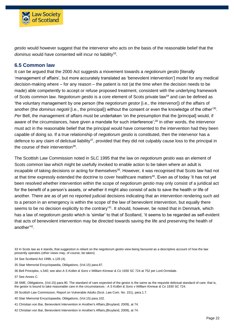

*gestio* would however suggest that the intervenor who acts on the basis of the reasonable belief that the dominus would have consented will incur no liability<sup>33</sup>.

#### <span id="page-21-0"></span>**6.5 Common law**

It can be argued that the 2000 Act suggests a movement towards a *negotiorum gestio* [literally 'management of affairs', but more accurately translated as 'benevolent intervention'] model for any medical decision-making where – for any reason – the patient is not (at the time when the decision needs to be made) able competently to accept or refuse proposed treatment, consistent with the underlying framework of Scots common law. *Negotiorum gestio* is a core element of Scots private law<sup>34</sup> and can be defined as 'the voluntary management by one person (the *negotiorum gestor* [i.e., the intervenor]) of the affairs of another (the *dominus negotii* [i.e., the principal]) without the consent or even the knowledge of the other'<sup>35</sup> . *Per* Bell, the management of affairs must be undertaken 'on the presumption that the [principal] would, if aware of the circumstances, have given a mandate for such interference';<sup>36</sup> in other words, the intervenor must act in the reasonable belief that the principal would have consented to the intervention had they been capable of doing so. If a true relationship of *negotiorum gestio* is constituted, then the intervenor has a defence to any claim of delictual liability<sup>37</sup>, provided that they did not culpably cause loss to the principal in the course of their intervention<sup>38</sup>.

The Scottish Law Commission noted in SLC 1995 that the law on *negotiorum gestio* was an element of Scots common law which might be usefully invoked to enable action to be taken where an adult is incapable of taking decisions or acting for themselves<sup>39</sup>. However, it was recognised that Scots law had not at that time expressly extended the doctrine to cover healthcare matters<sup>40</sup>. Even as of today 'it has not yet been resolved whether intervention within the scope of *negotiorum gestio* may only consist of a juridical act for the benefit of a person's assets, or whether it might also consist of acts to save the health or life of another. There are as of yet no reported judicial decisions indicating that an intervention rendering such aid to a person in an emergency is within the scope of the law of benevolent intervention, but equally there seems to be no decision explicitly to the contrary'<sup>41</sup>. It should, however, be noted that in Denmark, which has a law of *negotiorum gestio* which is 'similar' to that of Scotland, 'it seems to be regarded as self-evident that acts of benevolent intervention may be directed towards saving the life and preserving the health of another'<sup>42</sup> .

33 In Scots law as it stands, that suggestion is reliant on the negotiorum gestio view being favoured as a descriptive account of how the law presently operates (other views may, of course, be taken).

34 See Scotland Act 1998, s.126 (4).

35 Stair Memorial Encyclopaedia, Obligations, (Vol.15) para.87.

36 Bell Principles, s.540; see also *A S Kolbin & Sons v William Kinnear & Co* 1930 SC 724 at 752 per Lord Ormidale.

37 See Annex C.

38 SME, Obligations, (Vol.15) para.90. The standard of care expected of the gestor is the same as the requisite delictual standard of care; that is, the gestor is bound to take reasonable care in the circumstances : *A S Kolbin & Sons v William Kinnear & Co* 1930 SC 724.

39 Scottish Law Commission, Report on Vulnerable Adults (Scot. Law Com. No. 151), para.1.7.

40 Stair Memorial Encyclopaedia, Obligations, (Vol.15) para.102.

41 Christian von Bar, Benevolent Intervention in Another's Affairs,(Bruyland, 2009), at 74.

42 Christian von Bar, Benevolent Intervention in Another's Affairs,(Bruyland, 2009), at 74.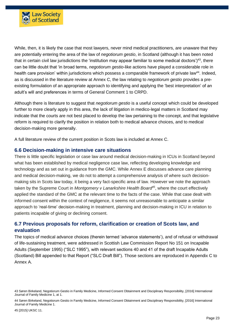

While, then, it is likely the case that most lawyers, never mind medical practitioners, are unaware that they are potentially entering the area of the law of *negotiorum gestio*, in Scotland (although it has been noted that in certain civil law jurisdictions the 'institution may appear familiar to some medical doctors')<sup>43</sup>, there can be little doubt that 'in broad terms, *negotiorum gestio*-like actions have played a considerable role in health care provision' within jurisdictions which possess a comparable framework of private law<sup>44</sup>. Indeed, as is discussed in the literature review at Annex C, the law relating to *negotiorum gestio* provides a preexisting formulation of an appropriate approach to identifying and applying the 'best interpretation' of an adult's will and preferences in terms of General Comment 1 to CRPD.

Although there is literature to suggest that *negotiorum gestio* is a useful concept which could be developed further to more clearly apply in this area, the lack of litigation in medico-legal matters in Scotland may indicate that the courts are not best placed to develop the law pertaining to the concept, and that legislative reform is required to clarify the position in relation both to medical advance choices, and to medical decision-making more generally.

A full literature review of the current position in Scots law is included at Annex C.

#### <span id="page-22-0"></span>**6.6 Decision-making in intensive care situations**

There is little specific legislation or case law around medical decision-making in ICUs in Scotland beyond what has been established by medical negligence case law, reflecting developing knowledge and technology and as set out in guidance from the GMC. While Annex E discusses advance care planning and medical decision-making, we do not to attempt a comprehensive analysis of where such decisionmaking sits in Scots law today, it being a very fact-specific area of law. However we note the approach taken by the Supreme Court in *Montgomery v Lanarkshire Health Board<sup>45</sup>* , where the court effectively applied the standard of the GMC at the relevant time to the facts of the case. While that case dealt with informed consent within the context of negligence, it seems not unreasonable to anticipate a similar approach to 'real-time' decision-making in treatment, planning and decision-making in ICU in relation to patients incapable of giving or declining consent.

## <span id="page-22-1"></span>**6.7 Previous proposals for reform, clarification or creation of Scots law, and evaluation**

The topics of medical advance choices (therein termed 'advance statements'), and of refusal or withdrawal of life-sustaining treatment, were addressed in Scottish Law Commission Report No 151 on Incapable Adults (September 1995) ("SLC 1995"), with relevant sections 40 and 41 of the draft Incapable Adults (Scotland) Bill appended to that Report ("SLC Draft Bill"). Those sections are reproduced in Appendix C to Annex A.

<sup>43</sup> Søren Birkeland, Negotiorum Gestio in Family Medicine, Informed Consent Obtainment and Disciplinary Responsibility, [2016] International Journal of Family Medicine 1, at 1.

<sup>44</sup> Søren Birkeland, Negotiorum Gestio in Family Medicine, Informed Consent Obtainment and Disciplinary Responsibility, [2016] International Journal of Family Medicine 1.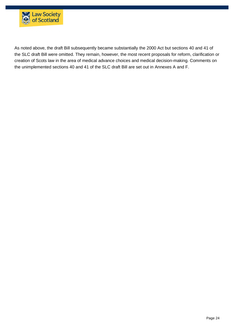

As noted above, the draft Bill subsequently became substantially the 2000 Act but sections 40 and 41 of the SLC draft Bill were omitted. They remain, however, the most recent proposals for reform, clarification or creation of Scots law in the area of medical advance choices and medical decision-making. Comments on the unimplemented sections 40 and 41 of the SLC draft Bill are set out in Annexes A and F.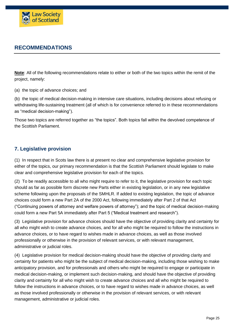

# <span id="page-24-0"></span>**RECOMMENDATIONS**

**Note**: All of the following recommendations relate to either or both of the two topics within the remit of the project, namely:

(a) the topic of advance choices; and

(b) the topic of medical decision-making in intensive care situations, including decisions about refusing or withdrawing life-sustaining treatment (all of which is for convenience referred to in these recommendations as "medical decision-making").

Those two topics are referred together as "the topics". Both topics fall within the devolved competence of the Scottish Parliament.

## <span id="page-24-1"></span>**7. Legislative provision**

(1) In respect that in Scots law there is at present no clear and comprehensive legislative provision for either of the topics, our primary recommendation is that the Scottish Parliament should legislate to make clear and comprehensive legislative provision for each of the topics.

(2) To be readily accessible to all who might require to refer to it, the legislative provision for each topic should as far as possible form discrete new Parts either in existing legislation, or in any new legislative scheme following upon the proposals of the SMHLR. If added to existing legislation, the topic of advance choices could form a new Part 2A of the 2000 Act, following immediately after Part 2 of that Act ("Continuing powers of attorney and welfare powers of attorney"); and the topic of medical decision-making could form a new Part 5A immediately after Part 5 ("Medical treatment and research").

(3) Legislative provision for advance choices should have the objective of providing clarity and certainty for all who might wish to create advance choices, and for all who might be required to follow the instructions in advance choices, or to have regard to wishes made in advance choices, as well as those involved professionally or otherwise in the provision of relevant services, or with relevant management, administrative or judicial roles.

(4) Legislative provision for medical decision-making should have the objective of providing clarity and certainty for patients who might be the subject of medical decision-making, including those wishing to make anticipatory provision, and for professionals and others who might be required to engage or participate in medical decision-making, or implement such decision-making, and should have the objective of providing clarity and certainty for all who might wish to create advance choices and all who might be required to follow the instructions in advance choices, or to have regard to wishes made in advance choices, as well as those involved professionally or otherwise in the provision of relevant services, or with relevant management, administrative or judicial roles.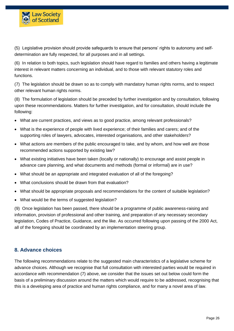

(5) Legislative provision should provide safeguards to ensure that persons' rights to autonomy and selfdetermination are fully respected, for all purposes and in all settings.

(6) In relation to both topics, such legislation should have regard to families and others having a legitimate interest in relevant matters concerning an individual, and to those with relevant statutory roles and functions.

(7) The legislation should be drawn so as to comply with mandatory human rights norms, and to respect other relevant human rights norms.

(8) The formulation of legislation should be preceded by further investigation and by consultation, following upon these recommendations. Matters for further investigation, and for consultation, should include the following:

- What are current practices, and views as to good practice, among relevant professionals?
- What is the experience of people with lived experience; of their families and carers; and of the supporting roles of lawyers, advocates, interested organisations, and other stakeholders?
- What actions are members of the public encouraged to take, and by whom, and how well are those recommended actions supported by existing law?
- What existing initiatives have been taken (locally or nationally) to encourage and assist people in advance care planning, and what documents and methods (formal or informal) are in use?
- What should be an appropriate and integrated evaluation of all of the foregoing?
- What conclusions should be drawn from that evaluation?
- What should be appropriate proposals and recommendations for the content of suitable legislation?
- What would be the terms of suggested legislation?

(9) Once legislation has been passed, there should be a programme of public awareness-raising and information, provision of professional and other training, and preparation of any necessary secondary legislation, Codes of Practice, Guidance, and the like. As occurred following upon passing of the 2000 Act, all of the foregoing should be coordinated by an implementation steering group.

#### <span id="page-25-0"></span>**8. Advance choices**

The following recommendations relate to the suggested main characteristics of a legislative scheme for advance choices. Although we recognise that full consultation with interested parties would be required in accordance with recommendation (7) above, we consider that the issues set out below could form the basis of a preliminary discussion around the matters which would require to be addressed, recognising that this is a developing area of practice and human rights compliance, and for many a novel area of law.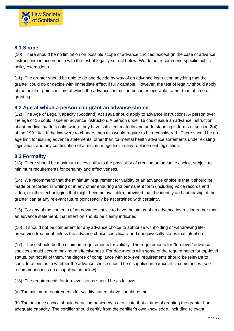

## <span id="page-26-0"></span>**8.1 Scope**

(10) There should be no limitation on possible scope of advance choices, except (in the case of advance instructions) in accordance with the test of legality set out below. We do not recommend specific public policy exemptions.

(11) The granter should be able to do and decide by way of an advance instruction anything that the granter could do or decide with immediate effect if fully capable. However, the test of legality should apply at the point or points in time at which the advance instruction becomes operable, rather than at time of granting.

## <span id="page-26-1"></span>**8.2 Age at which a person can grant an advance choice**

(12) The Age of Legal Capacity (Scotland) Act 1991 should apply to advance instructions. A person over the age of 16 could issue an advance instruction. A person under 16 could issue an advance instruction about medical matters only, where they have sufficient maturity and understanding in terms of section 2(4) of the 1991 Act. If the law were to change, then this would require to be reconsidered. There should be no age limit for issuing advance statements, other than for mental health advance statements under existing legislation, and any continuation of a minimum age limit in any replacement legislation.

## <span id="page-26-2"></span>**8.3 Formality**

(13) There should be maximum accessibility to the possibility of creating an advance choice, subject to minimum requirements for certainty and effectiveness.

(14) We recommend that the minimum requirement for validity of an advance choice is that it should be made or recorded in writing or in any other enduring and permanent form (including voice records and video, or other technologies that might become available), provided that the identity and authorship of the granter can at any relevant future point readily be ascertained with certainty.

(15) For any of the contents of an advance choice to have the status of an advance instruction rather than an advance statement, that intention should be clearly indicated.

(16) It should not be competent for any advance choice to authorise withholding or withdrawing lifepreserving treatment unless the advance choice specifically and unequivocally states that intention.

(17) Those should be the minimum requirements for validity. The requirements for "top-level" advance choices should accord maximum effectiveness. For documents with some of the requirements for top-level status, but not all of them, the degree of compliance with top-level requirements should be relevant to considerations as to whether the advance choice should be disapplied in particular circumstances (see recommendations on disapplication below).

(18) The requirements for top-level status should be as follows:

(a) The minimum requirements for validity stated above should be met.

(b) The advance choice should be accompanied by a certificate that at time of granting the granter had adequate capacity. The certifier should certify from the certifier's own knowledge, including relevant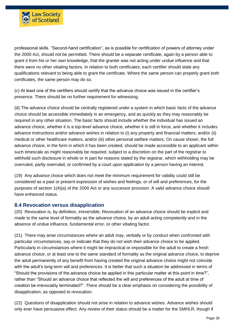

professional skills. "Second-hand certification", as is possible for certification of powers of attorney under the 2000 Act, should not be permitted. There should be a separate certificate, again by a person able to grant it from his or her own knowledge, that the granter was not acting under undue influence and that there were no other vitiating factors. In relation to both certificates, each certifier should state any qualifications relevant to being able to grant the certificate. Where the same person can properly grant both certificates, the same person may do so.

(c) At least one of the certifiers should certify that the advance choice was issued in the certifier's presence. There should be no further requirement for witnessing.

(d) The advance choice should be centrally registered under a system in which basic facts of the advance choice should be accessible immediately in an emergency, and as quickly as they may reasonably be required in any other situation. The basic facts should include whether the individual has issued an advance choice, whether it is a top-level advance choice, whether it is still in force, and whether it includes advance instructions and/or advance wishes in relation to (i) any property and financial matters, and/or (ii) medical or other healthcare matters, and/or (iii) other personal welfare matters. On cause shown, the full advance choice, in the form in which it has been created, should be made accessible to an applicant within such timescale as might reasonably be required, subject to a discretion on the part of the registrar to withhold such disclosure in whole or in part for reasons stated by the registrar, which withholding may be overruled, partly overruled, or confirmed by a court upon application by a person having an interest.

(19) Any advance choice which does not meet the minimum requirement for validity could still be considered as a past or present expression of wishes and feelings, or of will and preferences, for the purposes of section 1(4)(a) of the 2000 Act or any successor provision. A valid advance choice should have enhanced status.

#### <span id="page-27-0"></span>**8.4 Revocation versus disapplication**

(20) Revocation is, by definition, irreversible. Revocation of an advance choice should be explicit and made to the same level of formality as the advance choice, by an adult acting competently and in the absence of undue influence, fundamental error, or other vitiating factor.

(21) There may arise circumstances where an adult may, verbally or by conduct when confronted with particular circumstances, say or indicate that they do not wish their advance choice to be applied. Particularly in circumstances where it might be impractical or impossible for the adult to create a fresh advance choice, or at least one to the same standard of formality as the original advance choice, to deprive the adult permanently of any benefit from having created the original advance choice might not coincide with the adult's long-term will and preferences. It is better that such a situation be addressed in terms of "Should the provisions of the advance choice be applied in this particular matter at this point in time?", rather than "Should an advance choice that reflected the will and preferences of the adult at time of creation be irrevocably terminated?". There should be a clear emphasis on considering the possibility of disapplication, as opposed to revocation.

(22) Questions of disapplication should not arise in relation to advance wishes. Advance wishes should only ever have persuasive effect. Any review of their status should be a matter for the SMHLR, though if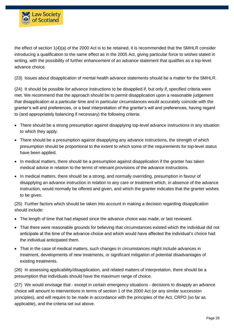

the effect of section 1(4)(a) of the 2000 Act is to be retained, it is recommended that the SMHLR consider introducing a qualification to the same effect as in the 2005 Act, giving particular force to wishes stated in writing, with the possibility of further enhancement of an advance statement that qualifies as a top-level advance choice.

(23) Issues about disapplication of mental health advance statements should be a matter for the SMHLR.

(24) It should be possible for advance instructions to be disapplied if, but only if, specified criteria were met. We recommend that the approach should be to permit disapplication upon a reasonable judgement that disapplication at a particular time and in particular circumstances would accurately coincide with the granter's will and preferences, or a best interpretation of the granter's will and preferences, having regard to (and appropriately balancing if necessary) the following criteria:

- There should be a strong presumption against disapplying top-level advance instructions in any situation to which they apply.
- There should be a presumption against disapplying any advance instructions, the strength of which presumption should be proportional to the extent to which some of the requirements for top-level status have been applied.
- In medical matters, there should be a presumption against disapplication if the granter has taken medical advice in relation to the terms of relevant provisions of the advance instructions.
- In medical matters, there should be a strong, and normally overriding, presumption in favour of disapplying an advance instruction in relation to any care or treatment which, in absence of the advance instruction, would normally be offered and given, and which the granter indicates that the granter wishes to be given.

(25) Further factors which should be taken into account in making a decision regarding disapplication should include:

- The length of time that had elapsed since the advance choice was made, or last reviewed.
- That there were reasonable grounds for believing that circumstances existed which the individual did not anticipate at the time of the advance choice and which would have affected the individual's choice had the individual anticipated them.
- That in the case of medical matters, such changes in circumstances might include advances in treatment, developments of new treatments, or significant mitigation of potential disadvantages of existing treatments.

(26) In assessing applicability/disapplication, and related matters of interpretation, there should be a presumption that individuals should have the maximum range of choice.

(27) We would envisage that - except in certain emergency situations - decisions to disapply an advance choice will amount to interventions in terms of section 1 of the 2000 Act (or any similar succession principles), and will require to be made in accordance with the principles of the Act, CRPD (so far as applicable), and the criteria set out above.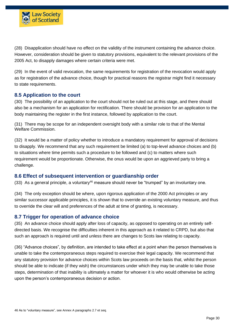

(28) Disapplication should have no effect on the validity of the instrument containing the advance choice. However, consideration should be given to statutory provisions, equivalent to the relevant provisions of the 2005 Act, to disapply damages where certain criteria were met.

(29) In the event of valid revocation, the same requirements for registration of the revocation would apply as for registration of the advance choice, though for practical reasons the registrar might find it necessary to state requirements.

#### <span id="page-29-0"></span>**8.5 Application to the court**

(30) The possibility of an application to the court should not be ruled out at this stage, and there should also be a mechanism for an application for rectification. There should be provision for an application to the body maintaining the register in the first instance, followed by application to the court.

(31) There may be scope for an independent oversight body with a similar role to that of the Mental Welfare Commission.

(32) It would be a matter of policy whether to introduce a mandatory requirement for approval of decisions to disapply. We recommend that any such requirement be limited (a) to top-level advance choices and (b) to situations where time permits such a procedure to be followed and (c) to matters where such requirement would be proportionate. Otherwise, the onus would be upon an aggrieved party to bring a challenge.

#### <span id="page-29-1"></span>**8.6 Effect of subsequent intervention or guardianship order**

(33) As a general principle, a voluntary<sup>46</sup> measure should never be "trumped" by an involuntary one.

(34) The only exception should be where, upon rigorous application of the 2000 Act principles or any similar successor applicable principles, it is shown that to override an existing voluntary measure, and thus to override the clear will and preferences of the adult at time of granting, is necessary.

#### <span id="page-29-2"></span>**8.7 Trigger for operation of advance choice**

(35) An advance choice should apply after loss of capacity, as opposed to operating on an entirely selfdirected basis. We recognise the difficulties inherent in this approach as it related to CRPD, but also that such an approach is required until and unless there are changes to Scots law relating to capacity.

(36) "Advance choices", by definition, are intended to take effect at a point when the person themselves is unable to take the contemporaneous steps required to exercise their legal capacity. We recommend that any statutory provision for advance choices within Scots law proceeds on the basis that, whilst the person should be able to indicate (if they wish) the circumstances under which they may be unable to take those steps, determination of that inability is ultimately a matter for whoever it is who would otherwise be acting upon the person's contemporaneous decision or action.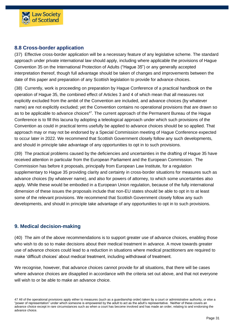

## <span id="page-30-0"></span>**8.8 Cross-border application**

(37) Effective cross-border application will be a necessary feature of any legislative scheme. The standard approach under private international law should apply, including where applicable the provisions of Hague Convention 35 on the International Protection of Adults ("Hague 35") or any generally accepted interpretation thereof, though full advantage should be taken of changes and improvements between the date of this paper and preparation of any Scottish legislation to provide for advance choices.

(38) Currently, work is proceeding on preparation by Hague Conference of a practical handbook on the operation of Hague 35, the combined effect of Articles 3 and 4 of which mean that all measures not explicitly excluded from the ambit of the Convention are included, and advance choices (by whatever name) are not explicitly excluded; yet the Convention contains no operational provisions that are drawn so as to be applicable to advance choices<sup>47</sup>. The current approach of the Permanent Bureau of the Hague Conference is to fill this lacuna by adopting a teleological approach under which such provisions of the Convention as could in practical terms usefully be applied to advance choices should be so applied. That approach may or may not be endorsed by a Special Commission meeting of Hague Conference expected to occur later in 2022. We recommend that Scottish Government closely follow any such developments, and should in principle take advantage of any opportunities to opt in to such provisions.

(39) The practical problems caused by the deficiencies and uncertainties in the drafting of Hague 35 have received attention in particular from the European Parliament and the European Commission. The Commission has before it proposals, principally from European Law Institute, for a regulation supplementary to Hague 35 providing clarity and certainty in cross-border situations for measures such as advance choices (by whatever name), and also for powers of attorney, to which some uncertainties also apply. While these would be embodied in a European Union regulation, because of the fully international dimension of these issues the proposals include that non-EU states should be able to opt in to at least some of the relevant provisions. We recommend that Scottish Government closely follow any such developments, and should in principle take advantage of any opportunities to opt in to such provisions.

#### <span id="page-30-1"></span>**9. Medical decision-making**

(40) The aim of the above recommendations is to support greater use of advance choices, enabling those who wish to do so to make decisions about their medical treatment in advance. A move towards greater use of advance choices could lead to a reduction in situations where medical practitioners are required to make 'difficult choices' about medical treatment, including withdrawal of treatment.

We recognise, however, that advance choices cannot provide for all situations, that there will be cases where advance choices are disapplied in accordance with the criteria set out above, and that not everyone will wish to or be able to make an advance choice.

<sup>47</sup> All of the operational provisions apply either to measures (such as a guardianship order) taken by a court or administrative authority, or else a "power of representation" under which someone is empowered by the adult to act as the adult's representative. Neither of these covers an advance choice except in rare circumstances such as when a court has become involved and has made an order, relating to and endorsing the advance choice.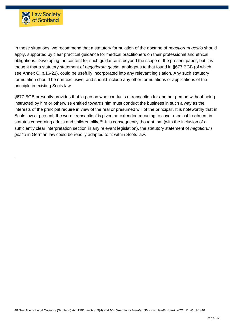

.

In these situations, we recommend that a statutory formulation of the doctrine of *negotiorum gestio* should apply, supported by clear practical guidance for medical practitioners on their professional and ethical obligations. Developing the content for such guidance is beyond the scope of the present paper, but it is thought that a statutory statement of *negotiorum gestio*, analogous to that found in §677 BGB (of which, see Annex C, p.16-21), could be usefully incorporated into any relevant legislation. Any such statutory formulation should be non-exclusive, and should include any other formulations or applications of the principle in existing Scots law.

§677 BGB presently provides that 'a person who conducts a transaction for another person without being instructed by him or otherwise entitled towards him must conduct the business in such a way as the interests of the principal require in view of the real or presumed will of the principal'. It is noteworthy that in Scots law at present, the word 'transaction' is given an extended meaning to cover medical treatment in statutes concerning adults and children alike<sup>48</sup>. It is consequently thought that (with the inclusion of a sufficiently clear interpretation section in any relevant legislation), the statutory statement of *negotiorum gestio* in German law could be readily adapted to fit within Scots law.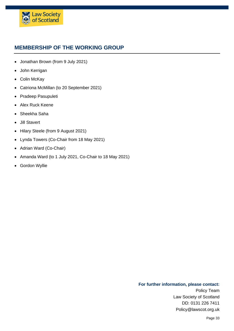

# <span id="page-32-0"></span>**MEMBERSHIP OF THE WORKING GROUP**

- Jonathan Brown (from 9 July 2021)
- John Kerrigan
- Colin McKay
- Catriona McMillan (to 20 September 2021)
- Pradeep Pasupuleti
- Alex Ruck Keene
- Sheekha Saha
- Jill Stavert
- Hilary Steele (from 9 August 2021)
- Lynda Towers (Co-Chair from 18 May 2021)
- Adrian Ward (Co-Chair)
- Amanda Ward (to 1 July 2021, Co-Chair to 18 May 2021)
- Gordon Wyllie

#### **For further information, please contact:**

Policy Team Law Society of Scotland DD: 0131 226 7411 Policy@lawscot.org.uk